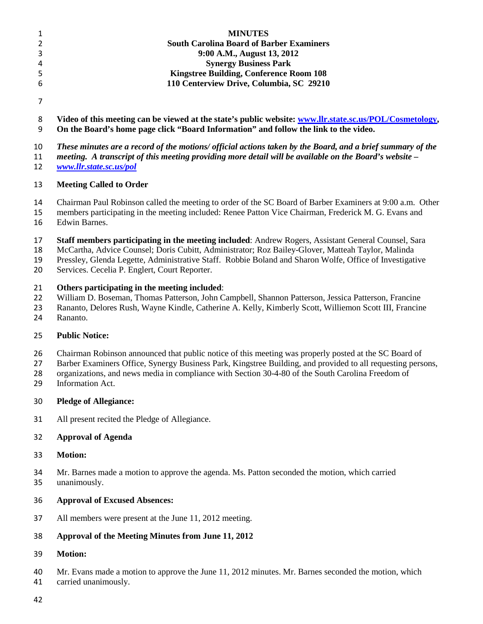|   | <b>MINUTES</b>                                  |  |
|---|-------------------------------------------------|--|
|   | <b>South Carolina Board of Barber Examiners</b> |  |
| 3 | 9:00 A.M., August 13, 2012                      |  |
| 4 | <b>Synergy Business Park</b>                    |  |
| 5 | <b>Kingstree Building, Conference Room 108</b>  |  |
| 6 | 110 Centerview Drive, Columbia, SC 29210        |  |
|   |                                                 |  |

 **Video of this meeting can be viewed at the state's public website: [www.llr.state.sc.us/POL/Cosmetology,](http://www.llr.state.sc.us/POL/Cosmetology) On the Board's home page click "Board Information" and follow the link to the video.**

*These minutes are a record of the motions/ official actions taken by the Board, and a brief summary of the* 

*meeting. A transcript of this meeting providing more detail will be available on the Board's website –*

*[www.llr.state.sc.us/pol](http://www.llr.state.sc.us/pol)*

#### **Meeting Called to Order**

Chairman Paul Robinson called the meeting to order of the SC Board of Barber Examiners at 9:00 a.m. Other

members participating in the meeting included: Renee Patton Vice Chairman, Frederick M. G. Evans and

- Edwin Barnes.
- **Staff members participating in the meeting included**: Andrew Rogers, Assistant General Counsel, Sara

McCartha, Advice Counsel; Doris Cubitt, Administrator; Roz Bailey-Glover, Matteah Taylor, Malinda

Pressley, Glenda Legette, Administrative Staff. Robbie Boland and Sharon Wolfe, Office of Investigative

Services. Cecelia P. Englert, Court Reporter.

#### **Others participating in the meeting included**:

William D. Boseman, Thomas Patterson, John Campbell, Shannon Patterson, Jessica Patterson, Francine

Rananto, Delores Rush, Wayne Kindle, Catherine A. Kelly, Kimberly Scott, Williemon Scott III, Francine

Rananto.

#### **Public Notice:**

Chairman Robinson announced that public notice of this meeting was properly posted at the SC Board of

Barber Examiners Office, Synergy Business Park, Kingstree Building, and provided to all requesting persons,

- organizations, and news media in compliance with Section 30-4-80 of the South Carolina Freedom of
- Information Act.

#### **Pledge of Allegiance:**

All present recited the Pledge of Allegiance.

#### **Approval of Agenda**

**Motion:**

 Mr. Barnes made a motion to approve the agenda. Ms. Patton seconded the motion, which carried unanimously.

- **Approval of Excused Absences:**
- All members were present at the June 11, 2012 meeting.

#### **Approval of the Meeting Minutes from June 11, 2012**

**Motion:**

 Mr. Evans made a motion to approve the June 11, 2012 minutes. Mr. Barnes seconded the motion, which carried unanimously.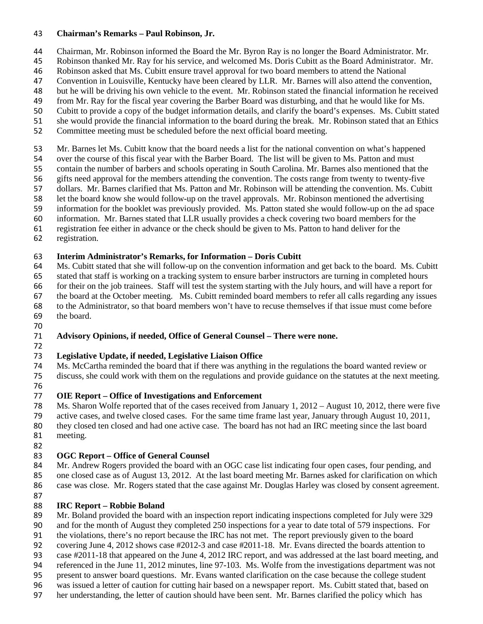#### **Chairman's Remarks – Paul Robinson, Jr.**

- Chairman, Mr. Robinson informed the Board the Mr. Byron Ray is no longer the Board Administrator. Mr.
- Robinson thanked Mr. Ray for his service, and welcomed Ms. Doris Cubitt as the Board Administrator. Mr.
- Robinson asked that Ms. Cubitt ensure travel approval for two board members to attend the National
- Convention in Louisville, Kentucky have been cleared by LLR. Mr. Barnes will also attend the convention,
- but he will be driving his own vehicle to the event. Mr. Robinson stated the financial information he received
- from Mr. Ray for the fiscal year covering the Barber Board was disturbing, and that he would like for Ms. Cubitt to provide a copy of the budget information details, and clarify the board's expenses. Ms. Cubitt stated
- she would provide the financial information to the board during the break. Mr. Robinson stated that an Ethics
- Committee meeting must be scheduled before the next official board meeting.
- Mr. Barnes let Ms. Cubitt know that the board needs a list for the national convention on what's happened
- over the course of this fiscal year with the Barber Board. The list will be given to Ms. Patton and must
- contain the number of barbers and schools operating in South Carolina. Mr. Barnes also mentioned that the
- gifts need approval for the members attending the convention. The costs range from twenty to twenty-five
- dollars. Mr. Barnes clarified that Ms. Patton and Mr. Robinson will be attending the convention. Ms. Cubitt
- let the board know she would follow-up on the travel approvals. Mr. Robinson mentioned the advertising
- information for the booklet was previously provided. Ms. Patton stated she would follow-up on the ad space
- information. Mr. Barnes stated that LLR usually provides a check covering two board members for the
- registration fee either in advance or the check should be given to Ms. Patton to hand deliver for the
- registration.

#### **Interim Administrator's Remarks, for Information – Doris Cubitt**

Ms. Cubitt stated that she will follow-up on the convention information and get back to the board. Ms. Cubitt

 stated that staff is working on a tracking system to ensure barber instructors are turning in completed hours for their on the job trainees. Staff will test the system starting with the July hours, and will have a report for

the board at the October meeting. Ms. Cubitt reminded board members to refer all calls regarding any issues

- to the Administrator, so that board members won't have to recuse themselves if that issue must come before
- the board.
- 

#### **Advisory Opinions, if needed, Office of General Counsel – There were none.**

## **Legislative Update, if needed, Legislative Liaison Office**

 Ms. McCartha reminded the board that if there was anything in the regulations the board wanted review or discuss, she could work with them on the regulations and provide guidance on the statutes at the next meeting.

## **OIE Report – Office of Investigations and Enforcement**

Ms. Sharon Wolfe reported that of the cases received from January 1, 2012 – August 10, 2012, there were five

active cases, and twelve closed cases. For the same time frame last year, January through August 10, 2011,

 they closed ten closed and had one active case. The board has not had an IRC meeting since the last board meeting.

## **OGC Report – Office of General Counsel**

84 Mr. Andrew Rogers provided the board with an OGC case list indicating four open cases, four pending, and 85 one closed case as of August 13, 2012. At the last board meeting Mr. Barnes asked for clarification on which case was close. Mr. Rogers stated that the case against Mr. Douglas Harley was closed by consent agreement.

## **IRC Report – Robbie Boland**

Mr. Boland provided the board with an inspection report indicating inspections completed for July were 329

- and for the month of August they completed 250 inspections for a year to date total of 579 inspections. For
- the violations, there's no report because the IRC has not met. The report previously given to the board
- covering June 4, 2012 shows case #2012-3 and case #2011-18. Mr. Evans directed the boards attention to
- case #2011-18 that appeared on the June 4, 2012 IRC report, and was addressed at the last board meeting, and
- referenced in the June 11, 2012 minutes, line 97-103. Ms. Wolfe from the investigations department was not
- present to answer board questions. Mr. Evans wanted clarification on the case because the college student
- was issued a letter of caution for cutting hair based on a newspaper report. Ms. Cubitt stated that, based on
- her understanding, the letter of caution should have been sent. Mr. Barnes clarified the policy which has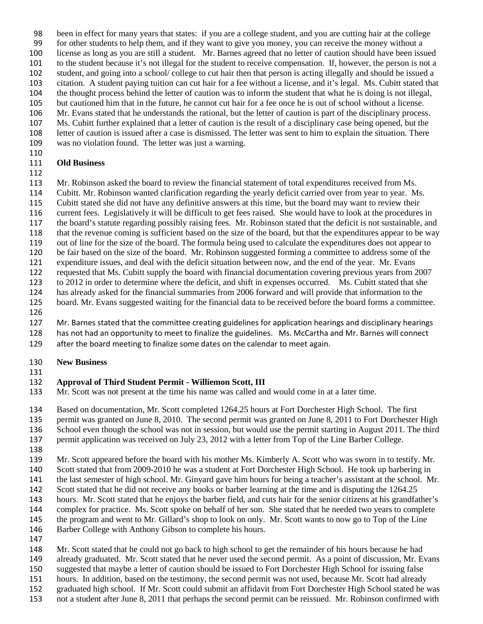been in effect for many years that states: if you are a college student, and you are cutting hair at the college

for other students to help them, and if they want to give you money, you can receive the money without a

license as long as you are still a student. Mr. Barnes agreed that no letter of caution should have been issued

to the student because it's not illegal for the student to receive compensation. If, however, the person is not a

 student, and going into a school/ college to cut hair then that person is acting illegally and should be issued a citation. A student paying tuition can cut hair for a fee without a license, and it's legal. Ms. Cubitt stated that

the thought process behind the letter of caution was to inform the student that what he is doing is not illegal,

but cautioned him that in the future, he cannot cut hair for a fee once he is out of school without a license.

Mr. Evans stated that he understands the rational, but the letter of caution is part of the disciplinary process.

Ms. Cubitt further explained that a letter of caution is the result of a disciplinary case being opened, but the

letter of caution is issued after a case is dismissed. The letter was sent to him to explain the situation. There

was no violation found. The letter was just a warning.

## 

## **Old Business**

Mr. Robinson asked the board to review the financial statement of total expenditures received from Ms.

Cubitt. Mr. Robinson wanted clarification regarding the yearly deficit carried over from year to year. Ms.

Cubitt stated she did not have any definitive answers at this time, but the board may want to review their

- current fees. Legislatively it will be difficult to get fees raised. She would have to look at the procedures in
- the board's statute regarding possibly raising fees. Mr. Robinson stated that the deficit is not sustainable, and
- that the revenue coming is sufficient based on the size of the board, but that the expenditures appear to be way out of line for the size of the board. The formula being used to calculate the expenditures does not appear to
- be fair based on the size of the board. Mr. Robinson suggested forming a committee to address some of the
- expenditure issues, and deal with the deficit situation between now, and the end of the year. Mr. Evans

requested that Ms. Cubitt supply the board with financial documentation covering previous years from 2007

to 2012 in order to determine where the deficit, and shift in expenses occurred. Ms. Cubitt stated that she

has already asked for the financial summaries from 2006 forward and will provide that information to the

board. Mr. Evans suggested waiting for the financial data to be received before the board forms a committee.

Mr. Barnes stated that the committee creating guidelines for application hearings and disciplinary hearings

has not had an opportunity to meet to finalize the guidelines. Ms. McCartha and Mr. Barnes will connect

after the board meeting to finalize some dates on the calendar to meet again.

# **New Business**

## 

# **Approval of Third Student Permit - Williemon Scott, III**

Mr. Scott was not present at the time his name was called and would come in at a later time.

Based on documentation, Mr. Scott completed 1264.25 hours at Fort Dorchester High School. The first

permit was granted on June 8, 2010. The second permit was granted on June 8, 2011 to Fort Dorchester High

136 School even though the school was not in session, but would use the permit starting in August 2011. The third permit application was received on July 23, 2012 with a letter from Top of the Line Barber College.

Mr. Scott appeared before the board with his mother Ms. Kimberly A. Scott who was sworn in to testify. Mr.

Scott stated that from 2009-2010 he was a student at Fort Dorchester High School. He took up barbering in

the last semester of high school. Mr. Ginyard gave him hours for being a teacher's assistant at the school. Mr.

142 Scott stated that he did not receive any books or barber learning at the time and is disputing the 1264.25

hours. Mr. Scott stated that he enjoys the barber field, and cuts hair for the senior citizens at his grandfather's

complex for practice. Ms. Scott spoke on behalf of her son. She stated that he needed two years to complete

the program and went to Mr. Gillard's shop to look on only. Mr. Scott wants to now go to Top of the Line

Barber College with Anthony Gibson to complete his hours.

 Mr. Scott stated that he could not go back to high school to get the remainder of his hours because he had

already graduated. Mr. Scott stated that he never used the second permit. As a point of discussion, Mr. Evans

suggested that maybe a letter of caution should be issued to Fort Dorchester High School for issuing false

hours. In addition, based on the testimony, the second permit was not used, because Mr. Scott had already

 graduated high school. If Mr. Scott could submit an affidavit from Fort Dorchester High School stated he was not a student after June 8, 2011 that perhaps the second permit can be reissued. Mr. Robinson confirmed with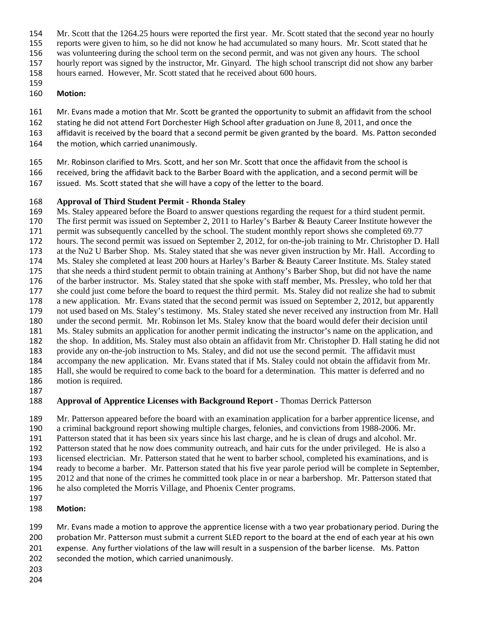- Mr. Scott that the 1264.25 hours were reported the first year. Mr. Scott stated that the second year no hourly
- reports were given to him, so he did not know he had accumulated so many hours. Mr. Scott stated that he
- was volunteering during the school term on the second permit, and was not given any hours. The school
- hourly report was signed by the instructor, Mr. Ginyard. The high school transcript did not show any barber
- hours earned. However, Mr. Scott stated that he received about 600 hours.
- 
- **Motion:**
- Mr. Evans made a motion that Mr. Scott be granted the opportunity to submit an affidavit from the school
- stating he did not attend Fort Dorchester High School after graduation on June 8, 2011, and once the
- affidavit is received by the board that a second permit be given granted by the board. Ms. Patton seconded
- 164 the motion, which carried unanimously.
- Mr. Robinson clarified to Mrs. Scott, and her son Mr. Scott that once the affidavit from the school is
- received, bring the affidavit back to the Barber Board with the application, and a second permit will be
- issued. Ms. Scott stated that she will have a copy of the letter to the board.

## **Approval of Third Student Permit - Rhonda Staley**

- Ms. Staley appeared before the Board to answer questions regarding the request for a third student permit.
- The first permit was issued on September 2, 2011 to Harley's Barber & Beauty Career Institute however the
- 171 permit was subsequently cancelled by the school. The student monthly report shows she completed 69.77
- hours. The second permit was issued on September 2, 2012, for on-the-job training to Mr. Christopher D. Hall at the Nu2 U Barber Shop. Ms. Staley stated that she was never given instruction by Mr. Hall. According to
- Ms. Staley she completed at least 200 hours at Harley's Barber & Beauty Career Institute. Ms. Staley stated
- that she needs a third student permit to obtain training at Anthony's Barber Shop, but did not have the name
- of the barber instructor. Ms. Staley stated that she spoke with staff member, Ms. Pressley, who told her that
- she could just come before the board to request the third permit. Ms. Staley did not realize she had to submit
- a new application. Mr. Evans stated that the second permit was issued on September 2, 2012, but apparently not used based on Ms. Staley's testimony. Ms. Staley stated she never received any instruction from Mr. Hall
- under the second permit. Mr. Robinson let Ms. Staley know that the board would defer their decision until
- Ms. Staley submits an application for another permit indicating the instructor's name on the application, and
- the shop. In addition, Ms. Staley must also obtain an affidavit from Mr. Christopher D. Hall stating he did not
- provide any on-the-job instruction to Ms. Staley, and did not use the second permit. The affidavit must
- accompany the new application. Mr. Evans stated that if Ms. Staley could not obtain the affidavit from Mr.
- Hall, she would be required to come back to the board for a determination. This matter is deferred and no
- motion is required.
- 

## **Approval of Apprentice Licenses with Background Report -** Thomas Derrick Patterson

Mr. Patterson appeared before the board with an examination application for a barber apprentice license, and

- a criminal background report showing multiple charges, felonies, and convictions from 1988-2006. Mr.
- Patterson stated that it has been six years since his last charge, and he is clean of drugs and alcohol. Mr.
- Patterson stated that he now does community outreach, and hair cuts for the under privileged. He is also a
- licensed electrician. Mr. Patterson stated that he went to barber school, completed his examinations, and is
- ready to become a barber. Mr. Patterson stated that his five year parole period will be complete in September, 2012 and that none of the crimes he committed took place in or near a barbershop. Mr. Patterson stated that
- he also completed the Morris Village, and Phoenix Center programs.
- 
- **Motion:**
- Mr. Evans made a motion to approve the apprentice license with a two year probationary period. During the 200 probation Mr. Patterson must submit a current SLED report to the board at the end of each year at his own
- expense. Any further violations of the law will result in a suspension of the barber license. Ms. Patton
- seconded the motion, which carried unanimously.
- 
-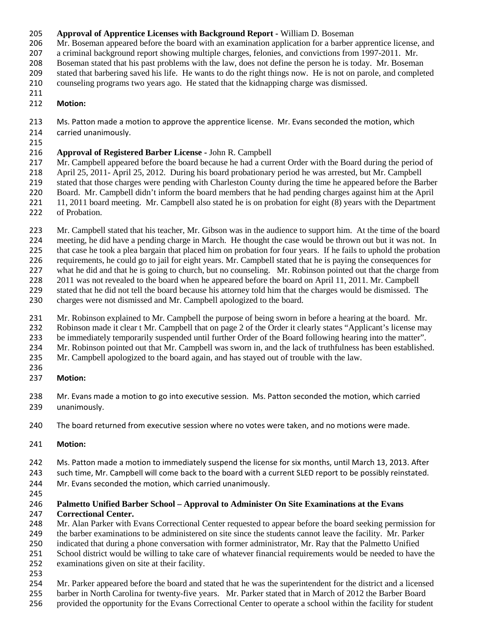#### **Approval of Apprentice Licenses with Background Report -** William D. Boseman

Mr. Boseman appeared before the board with an examination application for a barber apprentice license, and

a criminal background report showing multiple charges, felonies, and convictions from 1997-2011. Mr.

Boseman stated that his past problems with the law, does not define the person he is today. Mr. Boseman

stated that barbering saved his life. He wants to do the right things now. He is not on parole, and completed

 counseling programs two years ago. He stated that the kidnapping charge was dismissed. 

## **Motion:**

213 Ms. Patton made a motion to approve the apprentice license. Mr. Evans seconded the motion, which

- carried unanimously.
- 

## **Approval of Registered Barber License -** John R. Campbell

Mr. Campbell appeared before the board because he had a current Order with the Board during the period of

 April 25, 2011- April 25, 2012. During his board probationary period he was arrested, but Mr. Campbell stated that those charges were pending with Charleston County during the time he appeared before the Barber

Board. Mr. Campbell didn't inform the board members that he had pending charges against him at the April

11, 2011 board meeting. Mr. Campbell also stated he is on probation for eight (8) years with the Department

of Probation.

Mr. Campbell stated that his teacher, Mr. Gibson was in the audience to support him. At the time of the board

meeting, he did have a pending charge in March. He thought the case would be thrown out but it was not. In

that case he took a plea bargain that placed him on probation for four years. If he fails to uphold the probation

requirements, he could go to jail for eight years. Mr. Campbell stated that he is paying the consequences for

what he did and that he is going to church, but no counseling. Mr. Robinson pointed out that the charge from

 2011 was not revealed to the board when he appeared before the board on April 11, 2011. Mr. Campbell stated that he did not tell the board because his attorney told him that the charges would be dismissed. The

charges were not dismissed and Mr. Campbell apologized to the board.

Mr. Robinson explained to Mr. Campbell the purpose of being sworn in before a hearing at the board. Mr.

Robinson made it clear t Mr. Campbell that on page 2 of the Order it clearly states "Applicant's license may

be immediately temporarily suspended until further Order of the Board following hearing into the matter".

Mr. Robinson pointed out that Mr. Campbell was sworn in, and the lack of truthfulness has been established.

Mr. Campbell apologized to the board again, and has stayed out of trouble with the law.

- 
- **Motion:**

 Mr. Evans made a motion to go into executive session. Ms. Patton seconded the motion, which carried unanimously.

The board returned from executive session where no votes were taken, and no motions were made.

- **Motion:**
- Ms. Patton made a motion to immediately suspend the license for six months, until March 13, 2013. After

243 such time, Mr. Campbell will come back to the board with a current SLED report to be possibly reinstated.

Mr. Evans seconded the motion, which carried unanimously.

#### **Palmetto Unified Barber School – Approval to Administer On Site Examinations at the Evans Correctional Center.**

Mr. Alan Parker with Evans Correctional Center requested to appear before the board seeking permission for

the barber examinations to be administered on site since the students cannot leave the facility. Mr. Parker

indicated that during a phone conversation with former administrator, Mr. Ray that the Palmetto Unified

 School district would be willing to take care of whatever financial requirements would be needed to have the examinations given on site at their facility.

Mr. Parker appeared before the board and stated that he was the superintendent for the district and a licensed

- barber in North Carolina for twenty-five years. Mr. Parker stated that in March of 2012 the Barber Board
- provided the opportunity for the Evans Correctional Center to operate a school within the facility for student